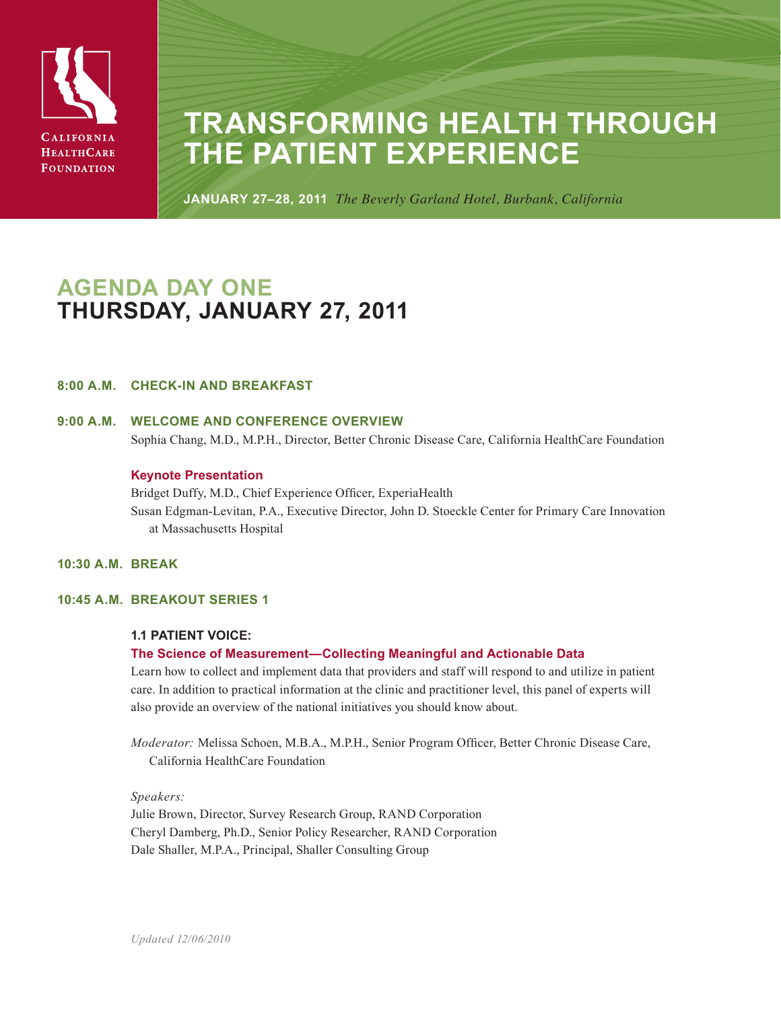

# **Transforming Health Through the Patient Experience**

**January 27–28, 2011** *The Beverly Garland Hotel, Burbank, California*

# **Agenda Day One Thursday, January 27, 2011**

# **8:00 a.m. Check-in and Breakfast**

# **9:00 a.m. Welcome and Conference Overview** Sophia Chang, M.D., M.P.H., Director, Better Chronic Disease Care, California HealthCare Foundation

# **Keynote Presentation**

Bridget Duffy, M.D., Chief Experience Officer, ExperiaHealth Susan Edgman-Levitan, P.A., Executive Director, John D. Stoeckle Center for Primary Care Innovation at Massachusetts Hospital

# **10:30 a.m. Break**

# **10:45 a.m. Breakout Series 1**

# **1.1 PATIENT VOICE:**

# **The Science of Measurement—Collecting Meaningful and Actionable Data**

Learn how to collect and implement data that providers and staff will respond to and utilize in patient care. In addition to practical information at the clinic and practitioner level, this panel of experts will also provide an overview of the national initiatives you should know about.

*Moderator:* Melissa Schoen, M.B.A., M.P.H., Senior Program Officer, Better Chronic Disease Care, California HealthCare Foundation

*Speakers:* Julie Brown, Director, Survey Research Group, RAND Corporation Cheryl Damberg, Ph.D., Senior Policy Researcher, RAND Corporation Dale Shaller, M.P.A., Principal, Shaller Consulting Group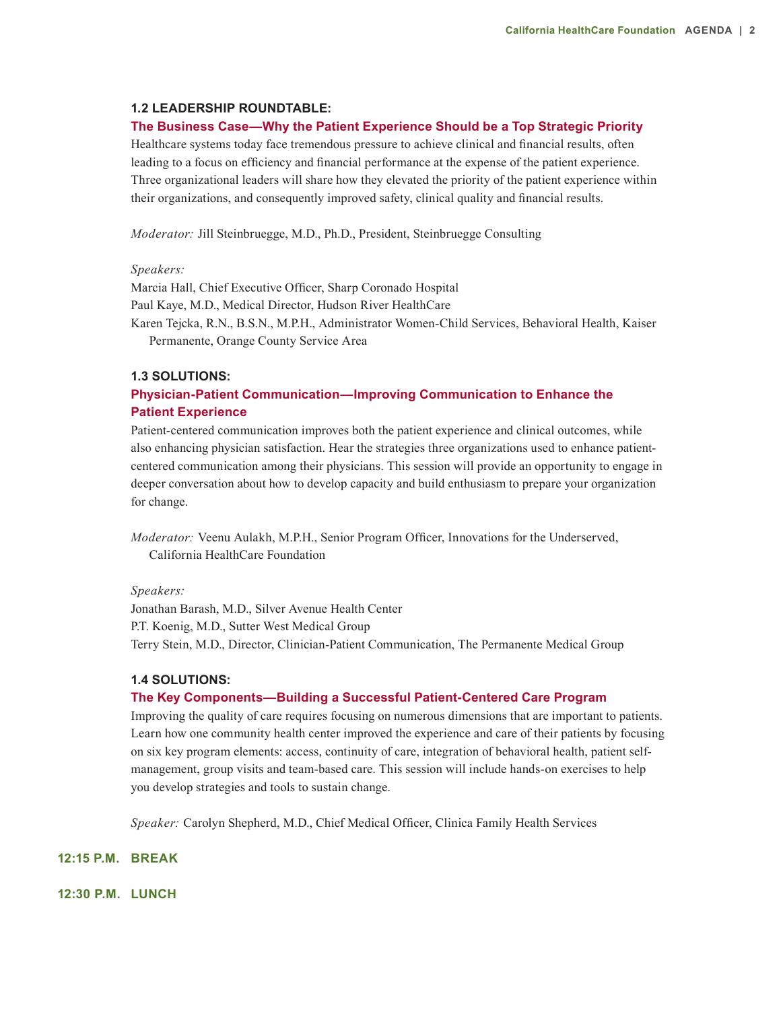#### **1.2 LEADERSHIP ROUNDTABLE:**

#### **The Business Case—Why the Patient Experience Should be a Top Strategic Priority**

Healthcare systems today face tremendous pressure to achieve clinical and financial results, often leading to a focus on efficiency and financial performance at the expense of the patient experience. Three organizational leaders will share how they elevated the priority of the patient experience within their organizations, and consequently improved safety, clinical quality and financial results.

*Moderator:* Jill Steinbruegge, M.D., Ph.D., President, Steinbruegge Consulting

#### *Speakers:*

Marcia Hall, Chief Executive Officer, Sharp Coronado Hospital Paul Kaye, M.D., Medical Director, Hudson River HealthCare Karen Tejcka, R.N., B.S.N., M.P.H., Administrator Women-Child Services, Behavioral Health, Kaiser Permanente, Orange County Service Area

#### **1.3 SOLUTIONS:**

# **Physician-Patient Communication—Improving Communication to Enhance the Patient Experience**

Patient-centered communication improves both the patient experience and clinical outcomes, while also enhancing physician satisfaction. Hear the strategies three organizations used to enhance patientcentered communication among their physicians. This session will provide an opportunity to engage in deeper conversation about how to develop capacity and build enthusiasm to prepare your organization for change.

*Moderator:* Veenu Aulakh, M.P.H., Senior Program Officer, Innovations for the Underserved, California HealthCare Foundation

#### *Speakers:*

Jonathan Barash, M.D., Silver Avenue Health Center P.T. Koenig, M.D., Sutter West Medical Group Terry Stein, M.D., Director, Clinician-Patient Communication, The Permanente Medical Group

#### **1.4 SOLUTIONS:**

#### **The Key Components—Building a Successful Patient-Centered Care Program**

Improving the quality of care requires focusing on numerous dimensions that are important to patients. Learn how one community health center improved the experience and care of their patients by focusing on six key program elements: access, continuity of care, integration of behavioral health, patient selfmanagement, group visits and team-based care. This session will include hands-on exercises to help you develop strategies and tools to sustain change.

*Speaker:* Carolyn Shepherd, M.D., Chief Medical Officer, Clinica Family Health Services

# **12:15 p.m. Break**

**12:30 p.m. Lunch**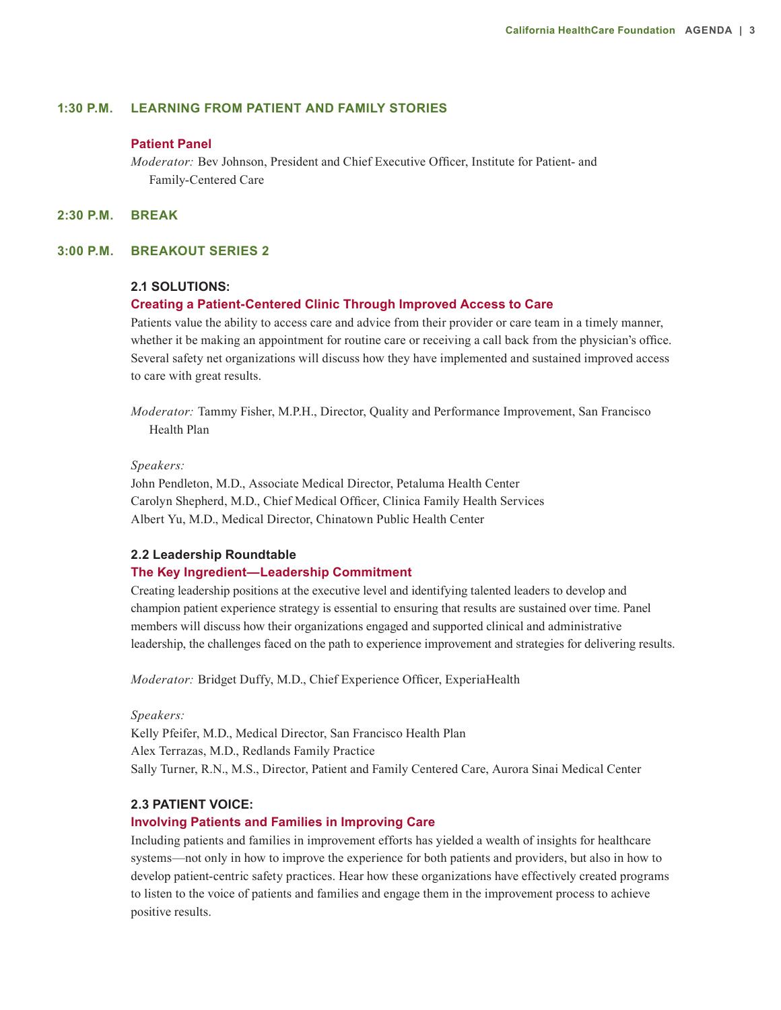### **1:30 p.m. Learning From Patient and Family Stories**

#### **Patient Panel**

*Moderator:* Bev Johnson, President and Chief Executive Officer, Institute for Patient- and Family-Centered Care

**2:30 p.m. Break**

#### **3:00 p.m. Breakout Series 2**

#### **2.1 SOLUTIONS:**

#### **Creating a Patient-Centered Clinic Through Improved Access to Care**

Patients value the ability to access care and advice from their provider or care team in a timely manner, whether it be making an appointment for routine care or receiving a call back from the physician's office. Several safety net organizations will discuss how they have implemented and sustained improved access to care with great results.

*Moderator:* Tammy Fisher, M.P.H., Director, Quality and Performance Improvement, San Francisco Health Plan

#### *Speakers:*

John Pendleton, M.D., Associate Medical Director, Petaluma Health Center Carolyn Shepherd, M.D., Chief Medical Officer, Clinica Family Health Services Albert Yu, M.D., Medical Director, Chinatown Public Health Center

#### **2.2 Leadership Roundtable**

#### **The Key Ingredient—Leadership Commitment**

Creating leadership positions at the executive level and identifying talented leaders to develop and champion patient experience strategy is essential to ensuring that results are sustained over time. Panel members will discuss how their organizations engaged and supported clinical and administrative leadership, the challenges faced on the path to experience improvement and strategies for delivering results.

*Moderator:* Bridget Duffy, M.D., Chief Experience Officer, ExperiaHealth

*Speakers:*

Kelly Pfeifer, M.D., Medical Director, San Francisco Health Plan Alex Terrazas, M.D., Redlands Family Practice Sally Turner, R.N., M.S., Director, Patient and Family Centered Care, Aurora Sinai Medical Center

#### **2.3 PATIENT VOICE:**

#### **Involving Patients and Families in Improving Care**

Including patients and families in improvement efforts has yielded a wealth of insights for healthcare systems—not only in how to improve the experience for both patients and providers, but also in how to develop patient-centric safety practices. Hear how these organizations have effectively created programs to listen to the voice of patients and families and engage them in the improvement process to achieve positive results.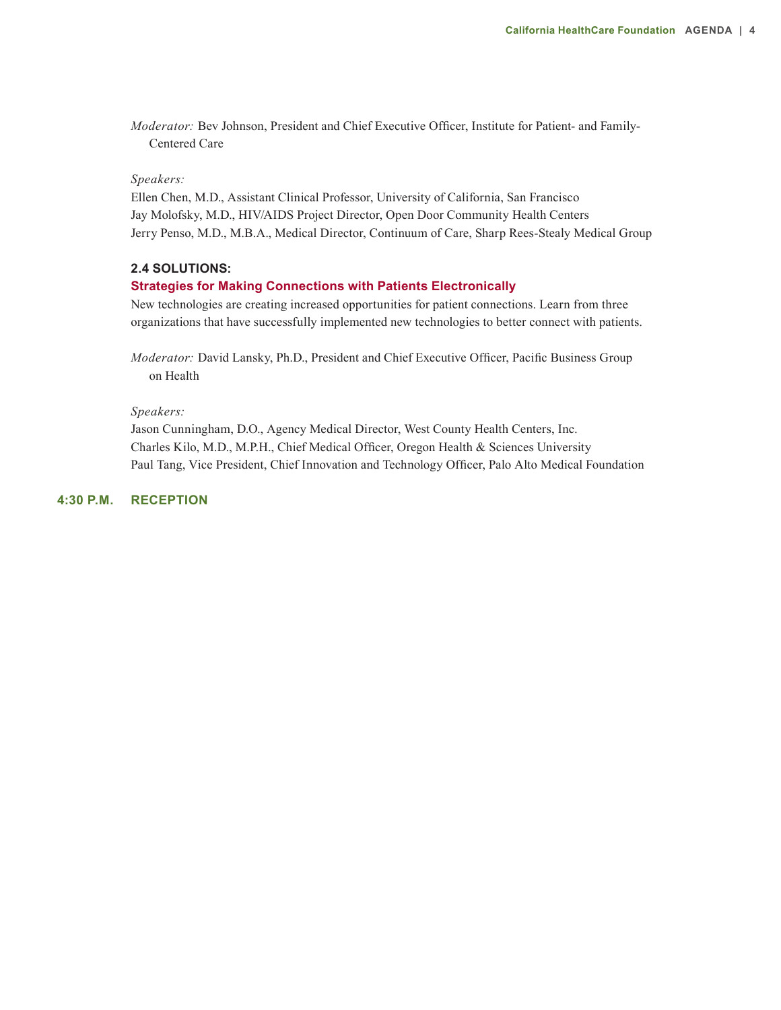*Moderator:* Bev Johnson, President and Chief Executive Officer, Institute for Patient- and Family-Centered Care

# *Speakers:*

Ellen Chen, M.D., Assistant Clinical Professor, University of California, San Francisco Jay Molofsky, M.D., HIV/AIDS Project Director, Open Door Community Health Centers Jerry Penso, M.D., M.B.A., Medical Director, Continuum of Care, Sharp Rees-Stealy Medical Group

#### **2.4 SOLUTIONS:**

#### **Strategies for Making Connections with Patients Electronically**

New technologies are creating increased opportunities for patient connections. Learn from three organizations that have successfully implemented new technologies to better connect with patients.

*Moderator:* David Lansky, Ph.D., President and Chief Executive Officer, Pacific Business Group on Health

#### *Speakers:*

Jason Cunningham, D.O., Agency Medical Director, West County Health Centers, Inc. Charles Kilo, M.D., M.P.H., Chief Medical Officer, Oregon Health & Sciences University Paul Tang, Vice President, Chief Innovation and Technology Officer, Palo Alto Medical Foundation

# **4:30 p.m. Reception**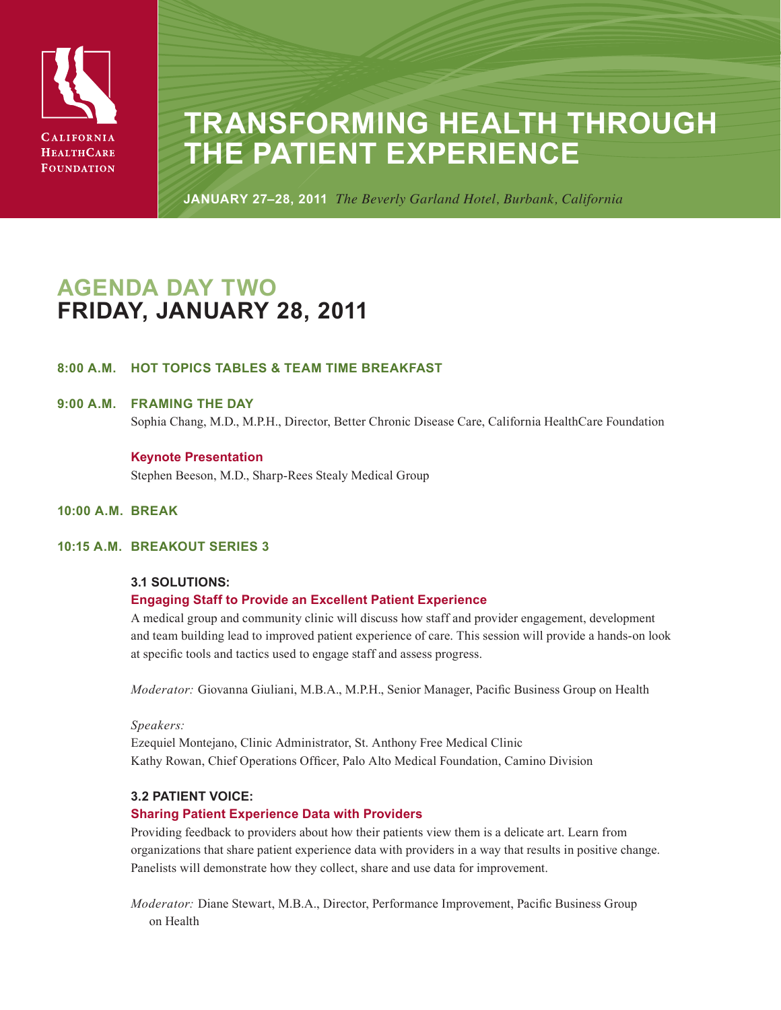

# **Transforming Health Through the Patient Experience**

**January 27–28, 2011** *The Beverly Garland Hotel, Burbank, California*

# **Agenda Day two friday, January 28, 2011**

# **8:00 a.m. Hot Topics Tables & Team Time Breakfast**

# **9:00 a.m. Framing the Day**

Sophia Chang, M.D., M.P.H., Director, Better Chronic Disease Care, California HealthCare Foundation

#### **Keynote Presentation**

Stephen Beeson, M.D., Sharp-Rees Stealy Medical Group

#### **10:00 a.m. Break**

# **10:15 a.m. Breakout Series 3**

# **3.1 SOLUTIONS:**

# **Engaging Staff to Provide an Excellent Patient Experience**

A medical group and community clinic will discuss how staff and provider engagement, development and team building lead to improved patient experience of care. This session will provide a hands-on look at specific tools and tactics used to engage staff and assess progress.

*Moderator:* Giovanna Giuliani, M.B.A., M.P.H., Senior Manager, Pacific Business Group on Health

#### *Speakers:*

Ezequiel Montejano, Clinic Administrator, St. Anthony Free Medical Clinic Kathy Rowan, Chief Operations Officer, Palo Alto Medical Foundation, Camino Division

# **3.2 PATIENT VOICE:**

# **Sharing Patient Experience Data with Providers**

Providing feedback to providers about how their patients view them is a delicate art. Learn from organizations that share patient experience data with providers in a way that results in positive change. Panelists will demonstrate how they collect, share and use data for improvement.

*Moderator:* Diane Stewart, M.B.A., Director, Performance Improvement, Pacific Business Group on Health